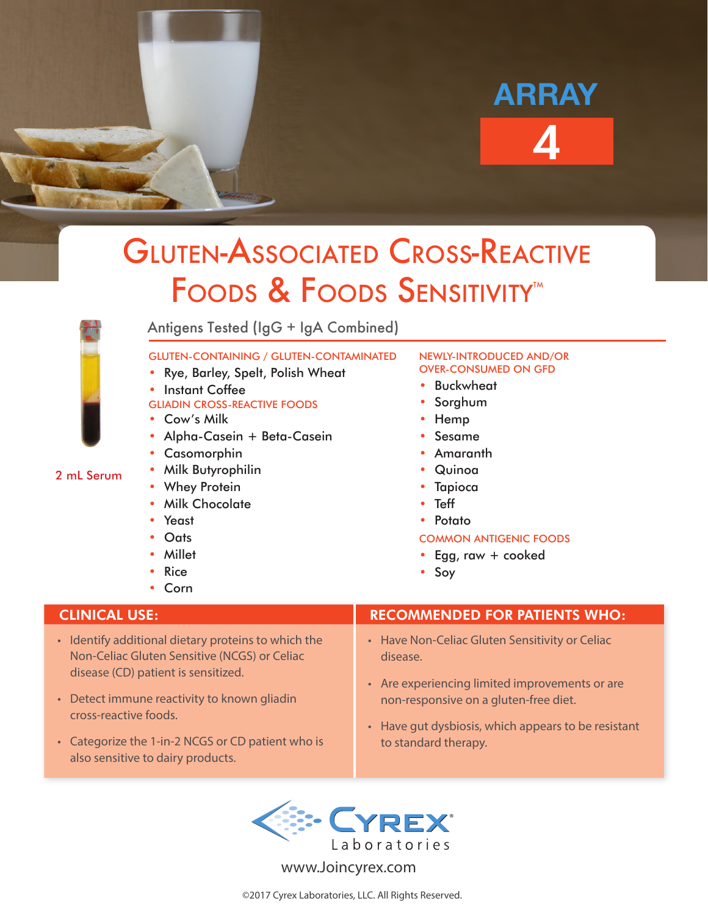# 4 ARRAY

## Gluten-Associated Cross-Reactive FOODS & FOODS SENSITIVITY<sup>™</sup>

2 mL Serum

Antigens Tested (IgG + IgA Combined)

### GLUTEN-CONTAINING / GLUTEN-CONTAMINATED

- Rye, Barley, Spelt, Polish Wheat
- **Instant Coffee**

## GLIADIN CROSS-REACTIVE FOODS

- Cow's Milk
- Alpha-Casein + Beta-Casein
- Casomorphin
- Milk Butyrophilin
- Whey Protein
- Milk Chocolate
- Yeast
- Oats
- Millet
- **Rice**
- Corn

- Identify additional dietary proteins to which the Non-Celiac Gluten Sensitive (NCGS) or Celiac disease (CD) patient is sensitized.
- Detect immune reactivity to known gliadin cross-reactive foods.
- Categorize the 1-in-2 NCGS or CD patient who is also sensitive to dairy products.

### NEWLY-INTRODUCED AND/OR OVER-CONSUMED ON GFD

- **Buckwheat**
- **Sorghum**
- Hemp
- Sesame
- Amaranth
- Quinoa
- **Tapioca**
- Teff
- Potato

## COMMON ANTIGENIC FOODS

- Egg, raw  $+$  cooked
- Soy

## CLINICAL USE: RECOMMENDED FOR PATIENTS WHO:

- Have Non-Celiac Gluten Sensitivity or Celiac disease.
- Are experiencing limited improvements or are non-responsive on a gluten-free diet.
- Have gut dysbiosis, which appears to be resistant to standard therapy.



www.Joincyrex.com

©2017 Cyrex Laboratories, LLC. All Rights Reserved.